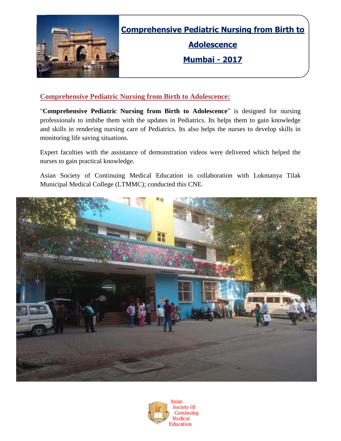

**Comprehensive Pediatric Nursing from Birth to**

**Adolescence**

**Mumbai - 2017**

### **Comprehensive Pediatric Nursing from Birth to Adolescence:**

"**Comprehensive Pediatric Nursing from Birth to Adolescence**" is designed for nursing professionals to imbibe them with the updates in Pediatrics. Its helps them to gain knowledge and skills in rendering nursing care of Pediatrics. Its also helps the nurses to develop skills in monitoring life saving situations.

Expert faculties with the assistance of demonstration videos were delivered which helped the nurses to gain practical knowledge.

Asian Society of Continuing Medical Education in collaboration with Lokmanya Tilak Municipal Medical College (LTMMC); conducted this CNE.



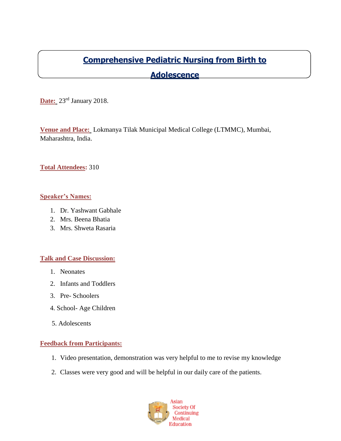## **Comprehensive Pediatric Nursing from Birth to**

## **Adolescence**

**Date:** 23<sup>rd</sup> January 2018.

**Venue and Place:** Lokmanya Tilak Municipal Medical College (LTMMC), Mumbai, Maharashtra, India.

#### **Total Attendees:** 310

#### **Speaker's Names:**

- 1. Dr. Yashwant Gabhale
- 2. Mrs. Beena Bhatia
- 3. Mrs. Shweta Rasaria

#### **Talk and Case Discussion:**

- 1. Neonates
- 2. Infants and Toddlers
- 3. Pre- Schoolers
- 4. School- Age Children
- 5. Adolescents

#### **Feedback from Participants:**

- 1. Video presentation, demonstration was very helpful to me to revise my knowledge
- 2. Classes were very good and will be helpful in our daily care of the patients.

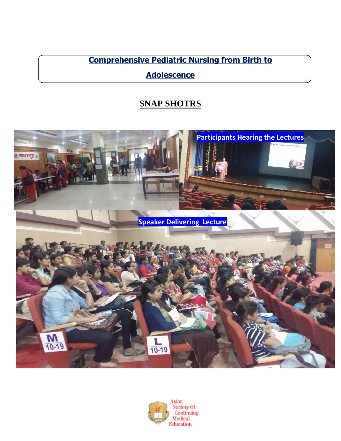**Comprehensive Pediatric Nursing from Birth to**

**Adolescence**

# **SNAP SHOTRS**